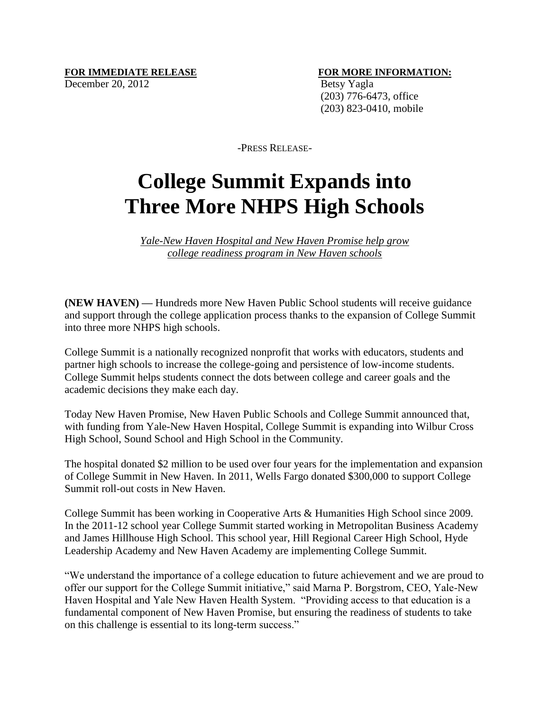December 20, 2012 Betsy Yagla

## **FOR IMMEDIATE RELEASE FOR MORE INFORMATION:**

 (203) 776-6473, office (203) 823-0410, mobile

-PRESS RELEASE-

## **College Summit Expands into Three More NHPS High Schools**

*Yale-New Haven Hospital and New Haven Promise help grow college readiness program in New Haven schools*

**(NEW HAVEN) —** Hundreds more New Haven Public School students will receive guidance and support through the college application process thanks to the expansion of College Summit into three more NHPS high schools.

College Summit is a nationally recognized nonprofit that works with educators, students and partner high schools to increase the college-going and persistence of low-income students. College Summit helps students connect the dots between college and career goals and the academic decisions they make each day.

Today New Haven Promise, New Haven Public Schools and College Summit announced that, with funding from Yale-New Haven Hospital, College Summit is expanding into Wilbur Cross High School, Sound School and High School in the Community.

The hospital donated \$2 million to be used over four years for the implementation and expansion of College Summit in New Haven. In 2011, Wells Fargo donated \$300,000 to support College Summit roll-out costs in New Haven.

College Summit has been working in Cooperative Arts & Humanities High School since 2009. In the 2011-12 school year College Summit started working in Metropolitan Business Academy and James Hillhouse High School. This school year, Hill Regional Career High School, Hyde Leadership Academy and New Haven Academy are implementing College Summit.

"We understand the importance of a college education to future achievement and we are proud to offer our support for the College Summit initiative," said Marna P. Borgstrom, CEO, Yale-New Haven Hospital and Yale New Haven Health System. "Providing access to that education is a fundamental component of New Haven Promise, but ensuring the readiness of students to take on this challenge is essential to its long-term success."